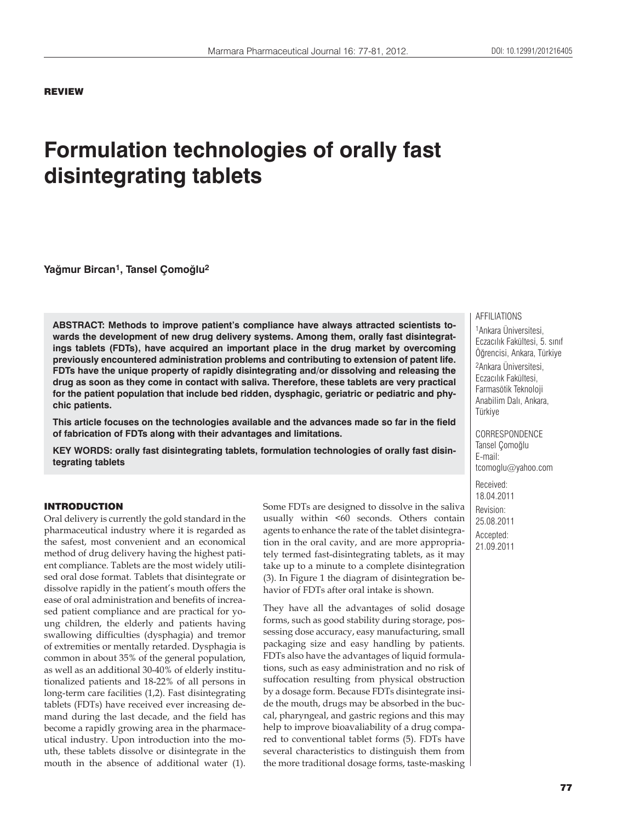### REVIEW

# **Formulation technologies of orally fast disintegrating tablets**

**Yağmur Bircan1, Tansel Çomoğlu2**

**ABSTRACT: Methods to improve patient's compliance have always attracted scientists towards the development of new drug delivery systems. Among them, orally fast disintegratings tablets (FDTs), have acquired an important place in the drug market by overcoming previously encountered administration problems and contributing to extension of patent life. FDTs have the unique property of rapidly disintegrating and/or dissolving and releasing the drug as soon as they come in contact with saliva. Therefore, these tablets are very practical for the patient population that include bed ridden, dysphagic, geriatric or pediatric and phychic patients.**

**This article focuses on the technologies available and the advances made so far in the field of fabrication of FDTs along with their advantages and limitations.**

**KEY WORDS: orally fast disintegrating tablets, formulation technologies of orally fast disintegrating tablets** 

#### INTRODUCTION

Oral delivery is currently the gold standard in the pharmaceutical industry where it is regarded as the safest, most convenient and an economical method of drug delivery having the highest patient compliance. Tablets are the most widely utilised oral dose format. Tablets that disintegrate or dissolve rapidly in the patient's mouth offers the ease of oral administration and benefits of increased patient compliance and are practical for young children, the elderly and patients having swallowing difficulties (dysphagia) and tremor of extremities or mentally retarded. Dysphagia is common in about 35% of the general population, as well as an additional 30-40% of elderly institutionalized patients and 18-22% of all persons in long-term care facilities (1,2). Fast disintegrating tablets (FDTs) have received ever increasing demand during the last decade, and the field has become a rapidly growing area in the pharmaceutical industry. Upon introduction into the mouth, these tablets dissolve or disintegrate in the mouth in the absence of additional water (1). Some FDTs are designed to dissolve in the saliva usually within <60 seconds. Others contain agents to enhance the rate of the tablet disintegration in the oral cavity, and are more appropriately termed fast-disintegrating tablets, as it may take up to a minute to a complete disintegration (3). In Figure 1 the diagram of disintegration behavior of FDTs after oral intake is shown.

They have all the advantages of solid dosage forms, such as good stability during storage, possessing dose accuracy, easy manufacturing, small packaging size and easy handling by patients. FDTs also have the advantages of liquid formulations, such as easy administration and no risk of suffocation resulting from physical obstruction by a dosage form. Because FDTs disintegrate inside the mouth, drugs may be absorbed in the buccal, pharyngeal, and gastric regions and this may help to improve bioavaliability of a drug compared to conventional tablet forms (5). FDTs have several characteristics to distinguish them from the more traditional dosage forms, taste-masking

### **AFFILIATIONS**

1Ankara Üniversitesi, Eczacılık Fakültesi, 5. sınıf Öğrencisi, Ankara, Türkiye 2Ankara Üniversitesi, Eczacılık Fakültesi, Farmasötik Teknoloji Anabilim Dalı, Ankara, Türkiye

CORRESPONDENCE Tansel Çomoğlu E-mail: tcomoglu@yahoo.com

Received: 18.04.2011 Revision: 25.08.2011

Accepted: 21.09.2011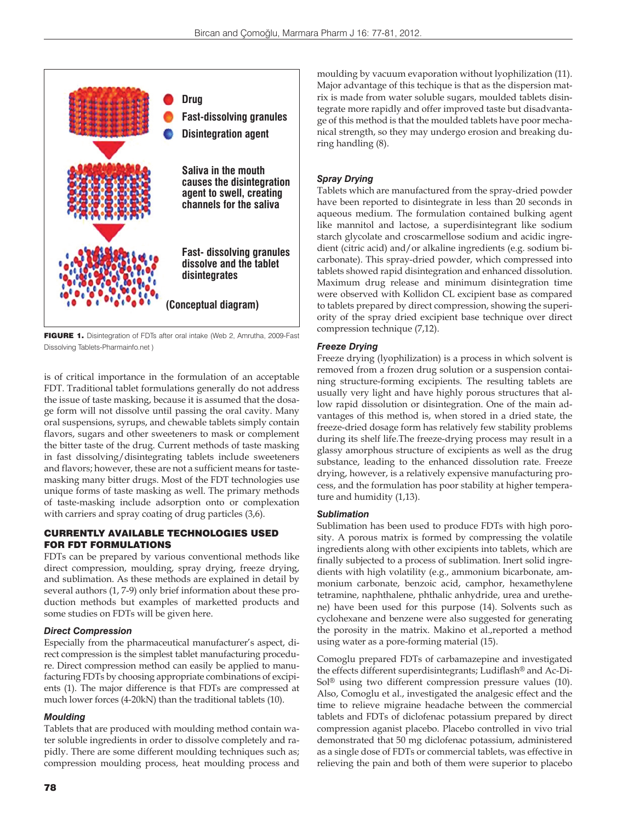

FIGURE 1. Disintegration of FDTs after oral intake (Web 2, Amrutha, 2009-Fast Dissolving Tablets-Pharmainfo.net )

is of critical importance in the formulation of an acceptable FDT. Traditional tablet formulations generally do not address the issue of taste masking, because it is assumed that the dosage form will not dissolve until passing the oral cavity. Many oral suspensions, syrups, and chewable tablets simply contain flavors, sugars and other sweeteners to mask or complement the bitter taste of the drug. Current methods of taste masking in fast dissolving/disintegrating tablets include sweeteners and flavors; however, these are not a sufficient means for tastemasking many bitter drugs. Most of the FDT technologies use unique forms of taste masking as well. The primary methods of taste-masking include adsorption onto or complexation with carriers and spray coating of drug particles (3,6).

## CURRENTLY AVAILABLE TECHNOLOGIES USED FOR FDT FORMULATIONS

FDTs can be prepared by various conventional methods like direct compression, moulding, spray drying, freeze drying, and sublimation. As these methods are explained in detail by several authors (1, 7-9) only brief information about these production methods but examples of marketted products and some studies on FDTs will be given here.

## *Direct Compression*

Especially from the pharmaceutical manufacturer's aspect, direct compression is the simplest tablet manufacturing procedure. Direct compression method can easily be applied to manufacturing FDTs by choosing appropriate combinations of excipients (1). The major difference is that FDTs are compressed at much lower forces (4-20kN) than the traditional tablets (10).

## *Moulding*

Tablets that are produced with moulding method contain water soluble ingredients in order to dissolve completely and rapidly. There are some different moulding techniques such as; compression moulding process, heat moulding process and moulding by vacuum evaporation without lyophilization (11). Major advantage of this techique is that as the dispersion matrix is made from water soluble sugars, moulded tablets disintegrate more rapidly and offer improved taste but disadvantage of this method is that the moulded tablets have poor mechanical strength, so they may undergo erosion and breaking during handling (8).

## *Spray Drying*

Tablets which are manufactured from the spray-dried powder have been reported to disintegrate in less than 20 seconds in aqueous medium. The formulation contained bulking agent like mannitol and lactose, a superdisintegrant like sodium starch glycolate and croscarmellose sodium and acidic ingredient (citric acid) and/or alkaline ingredients (e.g. sodium bicarbonate). This spray-dried powder, which compressed into tablets showed rapid disintegration and enhanced dissolution. Maximum drug release and minimum disintegration time were observed with Kollidon CL excipient base as compared to tablets prepared by direct compression, showing the superiority of the spray dried excipient base technique over direct compression technique (7,12).

## *Freeze Drying*

Freeze drying (lyophilization) is a process in which solvent is removed from a frozen drug solution or a suspension containing structure-forming excipients. The resulting tablets are usually very light and have highly porous structures that allow rapid dissolution or disintegration. One of the main advantages of this method is, when stored in a dried state, the freeze-dried dosage form has relatively few stability problems during its shelf life.The freeze-drying process may result in a glassy amorphous structure of excipients as well as the drug substance, leading to the enhanced dissolution rate. Freeze drying, however, is a relatively expensive manufacturing process, and the formulation has poor stability at higher temperature and humidity (1,13).

## *Sublimation*

Sublimation has been used to produce FDTs with high porosity. A porous matrix is formed by compressing the volatile ingredients along with other excipients into tablets, which are finally subjected to a process of sublimation. Inert solid ingredients with high volatility (e.g., ammonium bicarbonate, ammonium carbonate, benzoic acid, camphor, hexamethylene tetramine, naphthalene, phthalic anhydride, urea and urethene) have been used for this purpose (14). Solvents such as cyclohexane and benzene were also suggested for generating the porosity in the matrix. Makino et al.,reported a method using water as a pore-forming material (15).

Comoglu prepared FDTs of carbamazepine and investigated the effects different superdisintegrants; Ludiflash® and Ac-Di-Sol® using two different compression pressure values (10). Also, Comoglu et al., investigated the analgesic effect and the time to relieve migraine headache between the commercial tablets and FDTs of diclofenac potassium prepared by direct compression aganist placebo. Placebo controlled in vivo trial demonstrated that 50 mg diclofenac potassium, administered as a single dose of FDTs or commercial tablets, was effective in relieving the pain and both of them were superior to placebo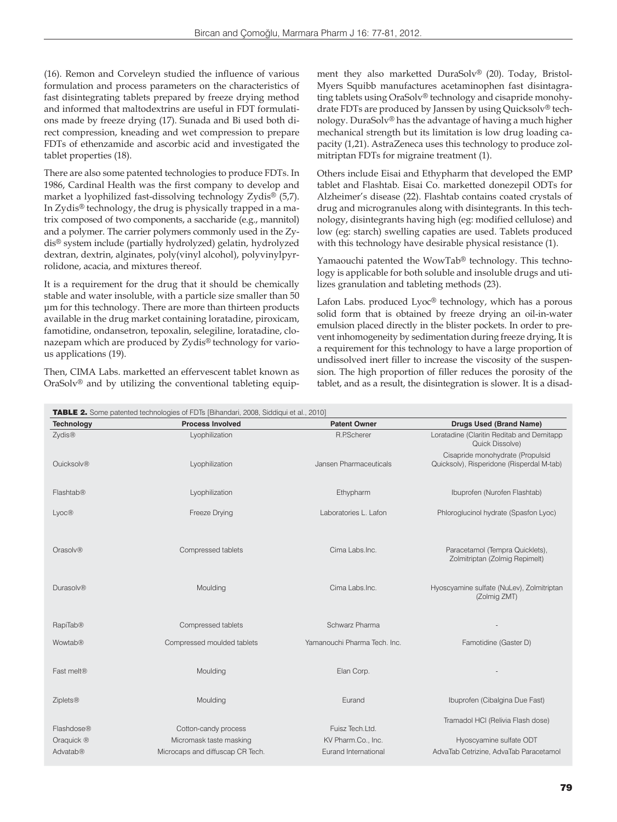(16). Remon and Corveleyn studied the influence of various formulation and process parameters on the characteristics of fast disintegrating tablets prepared by freeze drying method and informed that maltodextrins are useful in FDT formulations made by freeze drying (17). Sunada and Bi used both direct compression, kneading and wet compression to prepare FDTs of ethenzamide and ascorbic acid and investigated the tablet properties (18).

There are also some patented technologies to produce FDTs. In 1986, Cardinal Health was the first company to develop and market a lyophilized fast-dissolving technology Zydis® (5,7). In Zydis® technology, the drug is physically trapped in a matrix composed of two components, a saccharide (e.g., mannitol) and a polymer. The carrier polymers commonly used in the Zydis® system include (partially hydrolyzed) gelatin, hydrolyzed dextran, dextrin, alginates, poly(vinyl alcohol), polyvinylpyrrolidone, acacia, and mixtures thereof.

It is a requirement for the drug that it should be chemically stable and water insoluble, with a particle size smaller than 50 μm for this technology. There are more than thirteen products available in the drug market containing loratadine, piroxicam, famotidine, ondansetron, tepoxalin, selegiline, loratadine, clonazepam which are produced by Zydis® technology for various applications (19).

Then, CIMA Labs. marketted an effervescent tablet known as OraSolv® and by utilizing the conventional tableting equipment they also marketted DuraSolv® (20). Today, Bristol-Myers Squibb manufactures acetaminophen fast disintagrating tablets using OraSolv® technology and cisapride monohydrate FDTs are produced by Janssen by using Quicksolv® technology. DuraSolv® has the advantage of having a much higher mechanical strength but its limitation is low drug loading capacity (1,21). AstraZeneca uses this technology to produce zolmitriptan FDTs for migraine treatment (1).

Others include Eisai and Ethypharm that developed the EMP tablet and Flashtab. Eisai Co. marketted donezepil ODTs for Alzheimer's disease (22). Flashtab contains coated crystals of drug and microgranules along with disintegrants. In this technology, disintegrants having high (eg: modified cellulose) and low (eg: starch) swelling capaties are used. Tablets produced with this technology have desirable physical resistance (1).

Yamaouchi patented the WowTab® technology. This technology is applicable for both soluble and insoluble drugs and utilizes granulation and tableting methods (23).

Lafon Labs. produced Lyoc® technology, which has a porous solid form that is obtained by freeze drying an oil-in-water emulsion placed directly in the blister pockets. In order to prevent inhomogeneity by sedimentation during freeze drying, It is a requirement for this technology to have a large proportion of undissolved inert filler to increase the viscosity of the suspension. The high proportion of filler reduces the porosity of the tablet, and as a result, the disintegration is slower. It is a disad-

| <b>Technology</b>    | <b>Process Involved</b>          | <b>Patent Owner</b>          | Drugs Used (Brand Name)                                                       |
|----------------------|----------------------------------|------------------------------|-------------------------------------------------------------------------------|
| Zydis®               | Lyophilization                   | R.P.Scherer                  | Loratadine (Claritin Reditab and Demitapp<br>Quick Dissolve)                  |
| <b>Ouicksolv®</b>    | Lyophilization                   | Jansen Pharmaceuticals       | Cisapride monohydrate (Propulsid<br>Quicksolv), Risperidone (Risperdal M-tab) |
| Flashtab@            | Lyophilization                   | Ethypharm                    | Ibuprofen (Nurofen Flashtab)                                                  |
| Lyoc®                | Freeze Drying                    | Laboratories L. Lafon        | Phloroglucinol hydrate (Spasfon Lyoc)                                         |
| Orasolv <sup>®</sup> | Compressed tablets               | Cima Labs.Inc.               | Paracetamol (Tempra Quicklets),<br>Zolmitriptan (Zolmig Repimelt)             |
| Durasolv@            | Moulding                         | Cima Labs.Inc.               | Hyoscyamine sulfate (NuLev), Zolmitriptan<br>(Zolmig ZMT)                     |
| RapiTab®             | Compressed tablets               | Schwarz Pharma               |                                                                               |
| Wowtab®              | Compressed moulded tablets       | Yamanouchi Pharma Tech. Inc. | Famotidine (Gaster D)                                                         |
| Fast melt®           | Moulding                         | Elan Corp.                   |                                                                               |
| <b>Ziplets®</b>      | Moulding                         | Eurand                       | Ibuprofen (Cibalgina Due Fast)                                                |
| Flashdose®           | Cotton-candy process             | Fuisz Tech.Ltd.              | Tramadol HCI (Relivia Flash dose)                                             |
| Oraquick ®           | Micromask taste masking          | KV Pharm.Co., Inc.           | Hyoscyamine sulfate ODT                                                       |
| <b>Advatab®</b>      | Microcaps and diffuscap CR Tech. | Eurand International         | AdvaTab Cetrizine, AdvaTab Paracetamol                                        |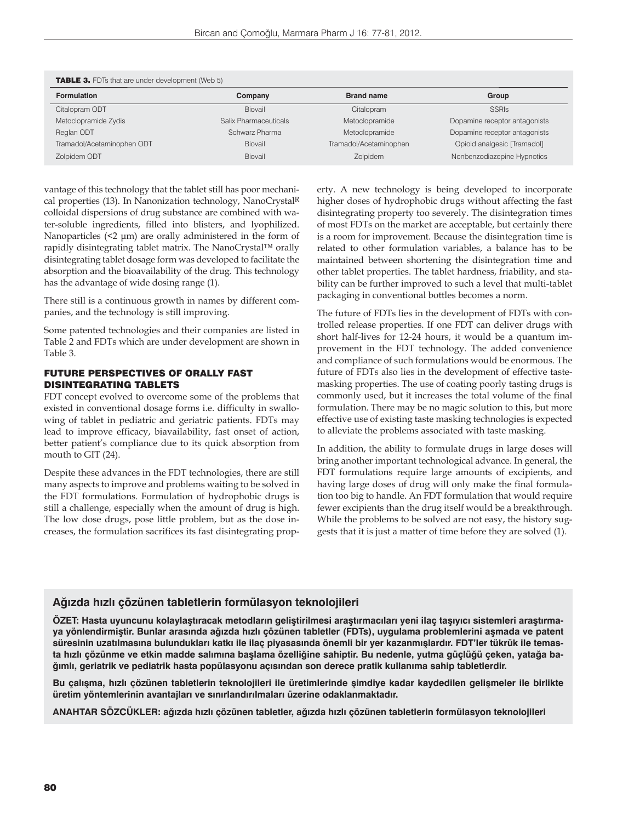| <b>TABLE 3.</b> FDTs that are under development (Web 5) |                       |                        |                               |  |
|---------------------------------------------------------|-----------------------|------------------------|-------------------------------|--|
| <b>Formulation</b>                                      | Company               | <b>Brand name</b>      | Group                         |  |
| Citalopram ODT                                          | Biovail               | Citalopram             | <b>SSRIS</b>                  |  |
| Metoclopramide Zydis                                    | Salix Pharmaceuticals | Metoclopramide         | Dopamine receptor antagonists |  |
| Reglan ODT                                              | Schwarz Pharma        | Metoclopramide         | Dopamine receptor antagonists |  |
| Tramadol/Acetaminophen ODT                              | Biovail               | Tramadol/Acetaminophen | Opioid analgesic [Tramadol]   |  |
| Zolpidem ODT                                            | Biovail               | Zolpidem               | Nonbenzodiazepine Hypnotics   |  |

vantage of this technology that the tablet still has poor mechanical properties (13). In Nanonization technology, NanoCrystalR colloidal dispersions of drug substance are combined with water-soluble ingredients, filled into blisters, and lyophilized. Nanoparticles (<2 μm) are orally administered in the form of rapidly disintegrating tablet matrix. The NanoCrystal™ orally disintegrating tablet dosage form was developed to facilitate the absorption and the bioavailability of the drug. This technology has the advantage of wide dosing range (1).

There still is a continuous growth in names by different companies, and the technology is still improving.

Some patented technologies and their companies are listed in Table 2 and FDTs which are under development are shown in Table 3.

## FUTURE PERSPECTIVES OF ORALLY FAST DISINTEGRATING TABLETS

FDT concept evolved to overcome some of the problems that existed in conventional dosage forms i.e. difficulty in swallowing of tablet in pediatric and geriatric patients. FDTs may lead to improve efficacy, biavailability, fast onset of action, better patient's compliance due to its quick absorption from mouth to GIT (24).

Despite these advances in the FDT technologies, there are still many aspects to improve and problems waiting to be solved in the FDT formulations. Formulation of hydrophobic drugs is still a challenge, especially when the amount of drug is high. The low dose drugs, pose little problem, but as the dose increases, the formulation sacrifices its fast disintegrating property. A new technology is being developed to incorporate higher doses of hydrophobic drugs without affecting the fast disintegrating property too severely. The disintegration times of most FDTs on the market are acceptable, but certainly there is a room for improvement. Because the disintegration time is related to other formulation variables, a balance has to be maintained between shortening the disintegration time and other tablet properties. The tablet hardness, friability, and stability can be further improved to such a level that multi-tablet packaging in conventional bottles becomes a norm.

The future of FDTs lies in the development of FDTs with controlled release properties. If one FDT can deliver drugs with short half-lives for 12-24 hours, it would be a quantum improvement in the FDT technology. The added convenience and compliance of such formulations would be enormous. The future of FDTs also lies in the development of effective tastemasking properties. The use of coating poorly tasting drugs is commonly used, but it increases the total volume of the final formulation. There may be no magic solution to this, but more effective use of existing taste masking technologies is expected to alleviate the problems associated with taste masking.

In addition, the ability to formulate drugs in large doses will bring another important technological advance. In general, the FDT formulations require large amounts of excipients, and having large doses of drug will only make the final formulation too big to handle. An FDT formulation that would require fewer excipients than the drug itself would be a breakthrough. While the problems to be solved are not easy, the history suggests that it is just a matter of time before they are solved (1).

## **Ağızda hızlı çözünen tabletlerin formülasyon teknolojileri**

**ÖZET: Hasta uyuncunu kolaylaştıracak metodların geliştirilmesi araştırmacıları yeni ilaç taşıyıcı sistemleri araştırmaya yönlendirmiştir. Bunlar arasında ağızda hızlı çözünen tabletler (FDTs), uygulama problemlerini aşmada ve patent süresinin uzatılmasına bulundukları katkı ile ilaç piyasasında önemli bir yer kazanmışlardır. FDT'ler tükrük ile temasta hızlı çözünme ve etkin madde salımına başlama özelliğine sahiptir. Bu nedenle, yutma güçlüğü çeken, yatağa bağımlı, geriatrik ve pediatrik hasta popülasyonu açısından son derece pratik kullanıma sahip tabletlerdir.**

**Bu çalışma, hızlı çözünen tabletlerin teknolojileri ile üretimlerinde şimdiye kadar kaydedilen gelişmeler ile birlikte üretim yöntemlerinin avantajları ve sınırlandırılmaları üzerine odaklanmaktadır.** 

**ANAHTAR SÖZCÜKLER: ağızda hızlı çözünen tabletler, ağızda hızlı çözünen tabletlerin formülasyon teknolojileri**